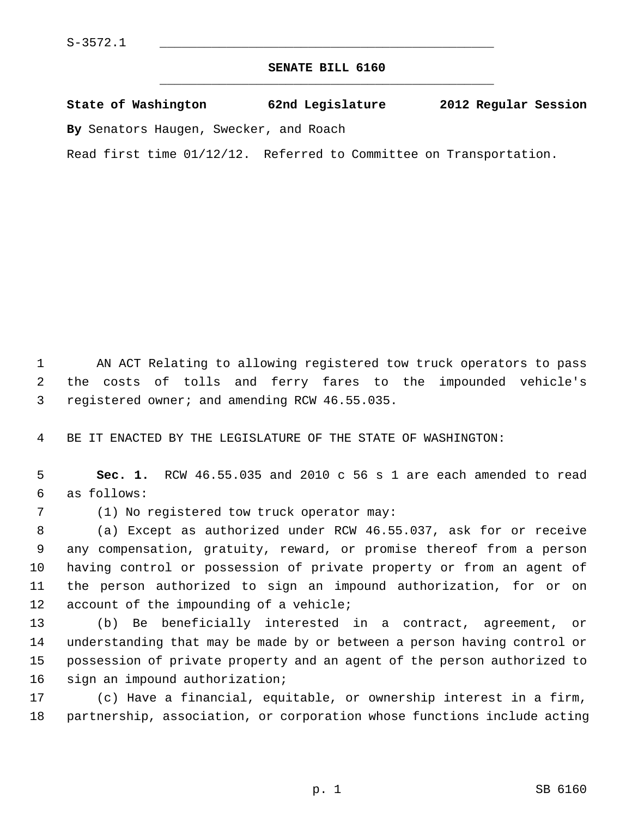## **SENATE BILL 6160** \_\_\_\_\_\_\_\_\_\_\_\_\_\_\_\_\_\_\_\_\_\_\_\_\_\_\_\_\_\_\_\_\_\_\_\_\_\_\_\_\_\_\_\_\_

## **State of Washington 62nd Legislature 2012 Regular Session**

**By** Senators Haugen, Swecker, and Roach

Read first time 01/12/12. Referred to Committee on Transportation.

 1 AN ACT Relating to allowing registered tow truck operators to pass 2 the costs of tolls and ferry fares to the impounded vehicle's 3 registered owner; and amending RCW 46.55.035.

4 BE IT ENACTED BY THE LEGISLATURE OF THE STATE OF WASHINGTON:

 5 **Sec. 1.** RCW 46.55.035 and 2010 c 56 s 1 are each amended to read 6 as follows:

7 (1) No registered tow truck operator may:

 8 (a) Except as authorized under RCW 46.55.037, ask for or receive 9 any compensation, gratuity, reward, or promise thereof from a person 10 having control or possession of private property or from an agent of 11 the person authorized to sign an impound authorization, for or on 12 account of the impounding of a vehicle;

13 (b) Be beneficially interested in a contract, agreement, or 14 understanding that may be made by or between a person having control or 15 possession of private property and an agent of the person authorized to 16 sign an impound authorization;

17 (c) Have a financial, equitable, or ownership interest in a firm, 18 partnership, association, or corporation whose functions include acting